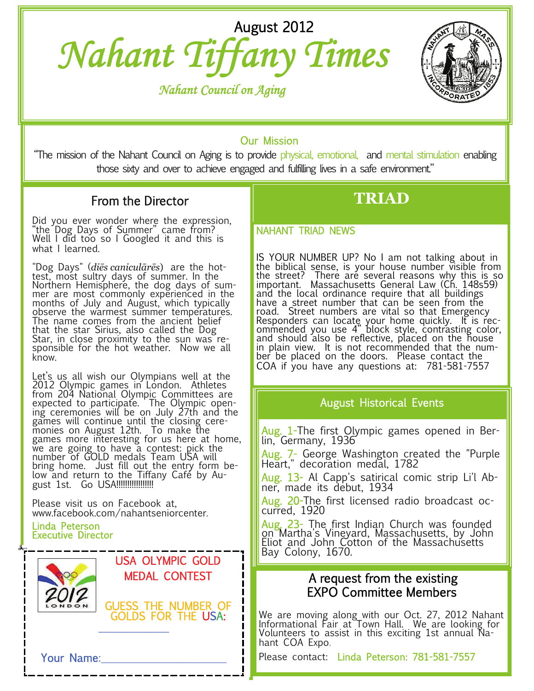# *Nahant Tiffany Times* August 2012

 *Nahant Council on Aging*



## Our Mission

"The mission of the Nahant Council on Aging is to provide physical, emotional, and mental stimulation enabling those sixty and over to achieve engaged and fulfilling lives in a safe environment."

ī

# From the Director

Did you ever wonder where the expression, "the Dog Days of Summer" came from? Well I did too so I Googled it and this is what I learned.

"Dog Days" (*diēs caniculārēs*) are the hottest, most sultry days of summer. In the Northern Hemisphere, the dog days of summer are most commonly experienced in the months of July and August, which typically observe the warmest summer temperatures. The name comes from the ancient belief that the star Sirius, also called the Dog Star, in close proximity to the sun was responsible for the hot weather. Now we all know.

Let's us all wish our Olympians well at the 2012 Olympic games in London. Athletes from 204 National Olympic Committees are<br>expected to participate. The Olympic opening ceremonies will be on July 27th and the games will continue until the closing ceremonies on August 12th. To make the games more interesting for us here at home, we are going to have a contest: pick the number of GOLD medals Team USA will bring home. Just fill out the entry form below and return to the Tiffany Café by August 1st. Go USA!!!!!!!!!!!!!!!!!

Please visit us on Facebook at, www.facebook.com/nahantseniorcenter.

#### Linda Peterson Executive Director



### USA OLYMPIC GOLD MEDAL CONTEST

GUESS THE NUMBER OF GOLDS FOR THE USA:

 $\mathcal{L}=\mathcal{L}=\mathcal{L}=\mathcal{L}=\mathcal{L}$ 

# **TRIAD**

### NAHANT TRIAD NEWS

IS YOUR NUMBER UP? No I am not talking about in the biblical sense, is your house number visible from the street? There are several reasons why this is so<br>important. Massachusetts General Law (Ch. 148s59) and the local ordinance require that all buildings have a street number that can be seen from the road. Street numbers are vital so that Emergency Responders can locate your home quickly. It is recommended you use 4" block style, contrasting color, and should also be reflective, placed on the house<br>in plain view. It is not recommended that the numin plain view. It is not recommended that the num-<br>ber be placed on the doors. Please\_contact the\_ COA if you have any questions at: 781-581-7557

### August Historical Events

<mark>Aug. 1</mark>-The first Olympic games opened in Ber-<br>lin, Germany, 1936

Aug. 7- George Washington created the "Purple<br>Heart," decoration medal, 1782

<mark>Aug. 13</mark>- Al Capp's satirical comic strip Li'l Ab-<br>ner, made its debut, 1934

Aug. 20-The first licensed radio broadcast occurred, 1920

Aug. 23- The first Indian Church was founded on Martha's Vineyard, Massachusetts, by John Eliot and John Cotton of the Massachusetts Bay Colony, 1670.

# A request from the existing EXPO Committee Members

We are moving along with our Oct. 27, 2012 Nahant Informational Fair at Town Hall. We are looking for Volunteers to assist in this exciting 1st annual Nahant COA Expo.

Please contact: Linda Peterson: 781-581-7557

Your Name: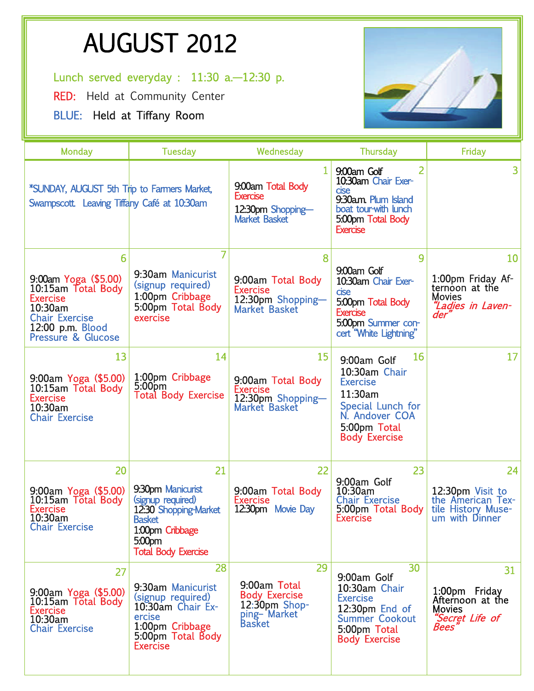# AUGUST 2012<br>
Lunch served everyday : 11:30 a.—12:30 p.

RED: Held at Community Center

BLUE: Held at Tiffany Room



| Monday                                                                                                                                                 | <b>Tuesday</b>                                                                                                                              | Wednesday                                                                                      | <b>Thursday</b>                                                                                                                          | Friday                                                                                     |
|--------------------------------------------------------------------------------------------------------------------------------------------------------|---------------------------------------------------------------------------------------------------------------------------------------------|------------------------------------------------------------------------------------------------|------------------------------------------------------------------------------------------------------------------------------------------|--------------------------------------------------------------------------------------------|
| *SUNDAY, AUGUST 5th Trip to Farmers Market,<br>Swampscott. Leaving Tiffany Café at 10:30am                                                             |                                                                                                                                             | 9:00am Total Body<br><b>Exercise</b><br>12:30pm Shopping-<br><b>Market Basket</b>              | 2<br>9:00am Golf<br>10:30am Chair Exer-<br>cise<br>9:30am. Plum Island<br>boat tour-with lunch<br>5:00pm Total Body<br><b>Exercise</b>   | 3                                                                                          |
| 6                                                                                                                                                      |                                                                                                                                             | 8                                                                                              | 9                                                                                                                                        | 10                                                                                         |
| 9:00am Yoga (\$5.00)<br>10:15am Total Body<br><b>Exercise</b><br>10:30am<br><b>Chair Exercise</b><br>12:00 p.m. Blood<br><b>Pressure &amp; Glucose</b> | 9:30am Manicurist<br>(signup required)<br>1:00pm Cribbage<br>5:00pm Total Body<br>exercise                                                  | 9:00am Total Body<br><b>Exercise</b><br>12:30pm Shopping-<br><b>Market Basket</b>              | 9:00am Golf<br>10:30am Chair Exer-<br>cise<br>5:00pm Total Body<br><b>Exercise</b><br>5:00pm Summer con-<br>cert "White Lightning"       | 1:00pm Friday Af-<br>ternoon at the<br><b>Movies</b><br>"Ladies in Laven-<br>der'          |
| 13                                                                                                                                                     | 14                                                                                                                                          | 15                                                                                             | 16<br>9:00am Golf                                                                                                                        | 17                                                                                         |
| 9:00am Yoga (\$5.00)<br>10:15am Total Body<br><b>Exercise</b><br>10:30am<br><b>Chair Exercise</b>                                                      | 1:00pm Cribbage<br>5:00 <sub>pm</sub><br><b>Total Body Exercise</b>                                                                         | 9:00am Total Body<br><b>Exercise</b><br>12:30pm Shopping-<br><b>Market Basket</b>              | 10:30am Chair<br><b>Exercise</b><br>11:30am<br>Special Lunch for<br>N. Andover COA<br>5:00pm Total<br><b>Body Exercise</b>               |                                                                                            |
| 20                                                                                                                                                     | 21                                                                                                                                          | 22                                                                                             | 23<br>9:00am Golf                                                                                                                        | 24                                                                                         |
| 9:00am Yoga (\$5.00)<br>10:15am Total Body<br><b>Exercise</b><br>10:30am<br><b>Chair Exercise</b>                                                      | 9.30pm Manicurist<br>(signup required)<br>12:30 Shopping-Market<br><b>Basket</b><br>1:00pm Cribbage<br>5:00pm<br><b>Total Body Exercise</b> | 9:00am Total Body<br><b>Exercise</b><br>12:30pm Movie Day                                      | 10:30am<br><b>Chair Exercise</b><br>5:00pm Total Body<br>Exercise                                                                        | 12:30pm Visit to<br>the American Tex-<br>tile History Muse-<br>um with Dinner              |
| 27<br>9:00am Yoga (\$5.00)<br>10:15am Total Body<br>Exercise<br>10:30am<br><b>Chair Exercise</b>                                                       | 28<br>9:30am Manicurist<br>(signup required)<br>10:30am Chair Ex-<br>ercise<br>1:00pm Cribbage<br>5:00pm Total Body<br><b>Exercise</b>      | 29<br>9:00am Total<br><b>Body Exercise</b><br>$12:30$ pm Shop-<br>ping-Market<br><b>Basket</b> | 30<br>9:00am Golf<br>10:30am Chair<br><b>Exercise</b><br>12:30pm End of<br><b>Summer Cookout</b><br>5:00pm Total<br><b>Body Exercise</b> | 31<br>1:00pm Friday<br>Afternoon at the<br><b>Movies</b><br>"Secret Life of<br><b>Bees</b> |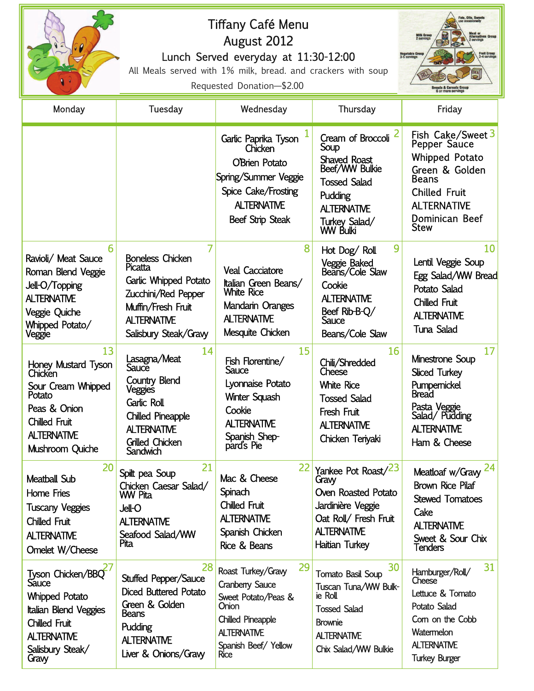| $\sqrt{2}$                                                                                                                                                                   | Tiffany Café Menu<br>August 2012<br>Lunch Served everyday at 11:30-12:00<br>All Meals served with 1% milk, bread. and crackers with soup<br>Requested Donation-\$2.00 |                                                                                                                                                                            |                                                                                                                                                                      | Fats, Oils, Sweets<br>Milk Grot<br>2 serving<br><b>Fruit Group</b><br>2-4 serving:<br>Vegetable Grou<br>3-5 servings<br><b>Breads &amp; Cereals Group<br/>6 or more servings</b> |
|------------------------------------------------------------------------------------------------------------------------------------------------------------------------------|-----------------------------------------------------------------------------------------------------------------------------------------------------------------------|----------------------------------------------------------------------------------------------------------------------------------------------------------------------------|----------------------------------------------------------------------------------------------------------------------------------------------------------------------|----------------------------------------------------------------------------------------------------------------------------------------------------------------------------------|
| Monday                                                                                                                                                                       | Tuesday                                                                                                                                                               | Wednesday                                                                                                                                                                  | Thursday                                                                                                                                                             | Friday                                                                                                                                                                           |
|                                                                                                                                                                              |                                                                                                                                                                       | Garlic Paprika Tyson<br>Chicken<br><b>O'Brien Potato</b><br>Spring/Summer Veggie<br>Spice Cake/Frosting<br><b>ALTERNATIVE</b><br><b>Beef Strip Steak</b>                   | Cream of Broccoli <sup>2</sup><br>Soup<br><b>Shaved Roast</b><br>Beef/WW Bulkie<br><b>Tossed Salad</b><br>Pudding<br><b>ALTERNATIVE</b><br>Turkey Salad/<br>WW Bulki | Fish Cake/Sweet 3<br>Pepper Sauce<br>Whipped Potato<br>Green & Golden<br><b>Beans</b><br><b>Chilled Fruit</b><br><b>ALTERNATIVE</b><br>Dominican Beef<br><b>Stew</b>             |
| 6<br>Ravioli/ Meat Sauce<br>Roman Blend Veggie<br>Jell-O/Topping<br><b>ALTERNATIVE</b><br>Veggie Quiche<br>Whipped Potato/<br>Veggie                                         | 7<br><b>Boneless Chicken</b><br>Picatta<br>Garlic Whipped Potato<br>Zucchini/Red Pepper<br>Muffin/Fresh Fruit<br><b>ALTERNATIVE</b><br>Salisbury Steak/Gravy          | 8<br><b>Veal Cacciatore</b><br>Italian Green Beans/<br><b>White Rice</b><br>Mandarin Oranges<br><b>ALTERNATIVE</b><br>Mesquite Chicken                                     | 9<br>Hot Dog/Roll<br>Veggie Baked<br>Beans/Cole Slaw<br>Cookie<br><b>ALTERNATIVE</b><br>Beef Rib-B-Q/<br>Sauce<br>Beans/Cole Slaw                                    | 10<br>Lentil Veggie Soup<br>Egg Salad/WW Bread<br>Potato Salad<br><b>Chilled Fruit</b><br><b>ALTERNATIVE</b><br>Tuna Salad                                                       |
| 13<br>Honey Mustard Tyson<br>Chicken<br>Sour Cream Whipped<br>Potato<br>Peas & Onion<br><b>Chilled Fruit</b><br><b>ALTERNATIVE</b><br>Mushroom Quiche                        | 14<br>Lasagna/Meat<br>Sauce<br><b>Country Blend</b><br>Veggies<br>Garlic Roll<br><b>Chilled Pineapple</b><br><b>ALTERNATIVE</b><br><b>Grilled Chicken</b><br>Sandwich | 15<br>Fish Florentine/<br>Sauce<br>Lyonnaise Potato<br>Winter Squash<br>Cookie<br><b>ALTERNATIVE</b><br>Spanish Shep-<br>pard's Pie                                        | 16<br>Chili/Shredded<br>Cheese<br><b>White Rice</b><br>Tossed Salad<br>Fresh Fruit<br><b>ALTERNATIVE</b><br>Chicken Teriyaki                                         | 17<br>Minestrone Soup<br><b>Sliced Turkey</b><br>Pumpernickel<br>Bread<br>Pasta Veggie<br>Salad/Pudding<br><b>ALTERNATIVE</b><br>Ham & Cheese                                    |
| 20<br><b>Meatball Sub</b><br>Home Fries<br><b>Tuscany Veggies</b><br><b>Chilled Fruit</b><br><b>ALTERNATIVE</b><br>Omelet W/Cheese                                           | 21<br>Spilt pea Soup<br>Chicken Caesar Salad/<br>WW Pita<br><b>Jell-O</b><br><b>ALTERNATIVE</b><br>Seafood Salad/WW<br>Pita                                           | 22<br>Mac & Cheese<br>Spinach<br>Chilled Fruit<br><b>ALTERNATIVE</b><br>Spanish Chicken<br>Rice & Beans                                                                    | Yankee Pot Roast/23<br>Gravy<br>Oven Roasted Potato<br>Jardinière Veggie<br>Oat Roll/ Fresh Fruit<br><b>ALTERNATIVE</b><br>Haitian Turkey                            | Meatloaf w/Gravy $24$<br><b>Brown Rice Pilaf</b><br><b>Stewed Tomatoes</b><br>Cake<br><b>ALTERNATIVE</b><br>Sweet & Sour Chix<br>Tenders                                         |
| Tyson Chicken/BBQ <sup>27</sup><br><b>Sauce</b><br><b>Whipped Potato</b><br>Italian Blend Veggies<br><b>Chilled Fruit</b><br><b>ALTERNATIVE</b><br>Salisbury Steak/<br>Gravy | 28<br>Stuffed Pepper/Sauce<br><b>Diced Buttered Potato</b><br>Green & Golden<br><b>Beans</b><br>Pudding<br><b>ALTERNATIVE</b><br>Liver & Onions/Gravy                 | 29<br>Roast Turkey/Gravy<br><b>Cranberry Sauce</b><br>Sweet Potato/Peas &<br><b>Onion</b><br><b>Chilled Pineapple</b><br><b>ALTERNATIVE</b><br>Spanish Beef/Yellow<br>Rice | 30<br><b>Tomato Basil Soup</b><br>Tuscan Tuna/WW Bulk-<br>ie Roll<br><b>Tossed Salad</b><br><b>Brownie</b><br><b>ALTERNATIVE</b><br>Chix Salad/WW Bulkie             | 31<br>Hamburger/Roll/<br>Cheese<br>Lettuce & Tomato<br><b>Potato Salad</b><br>Com on the Cobb<br>Watermelon<br><b>ALTERNATIVE</b><br><b>Turkey Burger</b>                        |